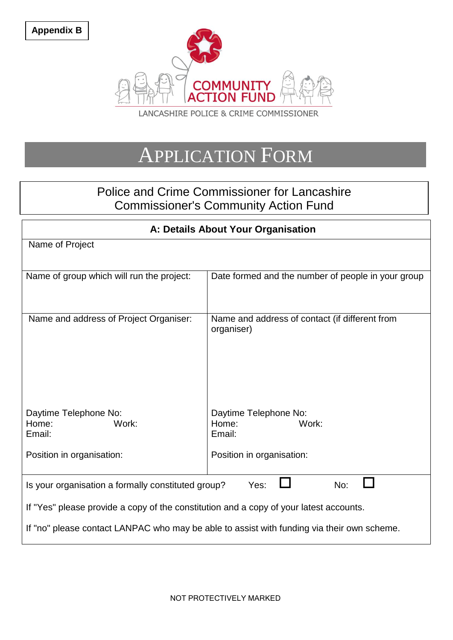

## APPLICATION FORM

## Police and Crime Commissioner for Lancashire Commissioner's Community Action Fund

| A: Details About Your Organisation                                                         |                                                              |  |
|--------------------------------------------------------------------------------------------|--------------------------------------------------------------|--|
| Name of Project                                                                            |                                                              |  |
|                                                                                            |                                                              |  |
| Name of group which will run the project:                                                  | Date formed and the number of people in your group           |  |
|                                                                                            |                                                              |  |
| Name and address of Project Organiser:                                                     | Name and address of contact (if different from<br>organiser) |  |
|                                                                                            |                                                              |  |
| Daytime Telephone No:<br>Home:<br>Work:<br>Email:                                          | Daytime Telephone No:<br>Home:<br>Work:<br>Email:            |  |
| Position in organisation:                                                                  | Position in organisation:                                    |  |
| Yes:<br>No:<br>Is your organisation a formally constituted group?                          |                                                              |  |
| If "Yes" please provide a copy of the constitution and a copy of your latest accounts.     |                                                              |  |
| If "no" please contact LANPAC who may be able to assist with funding via their own scheme. |                                                              |  |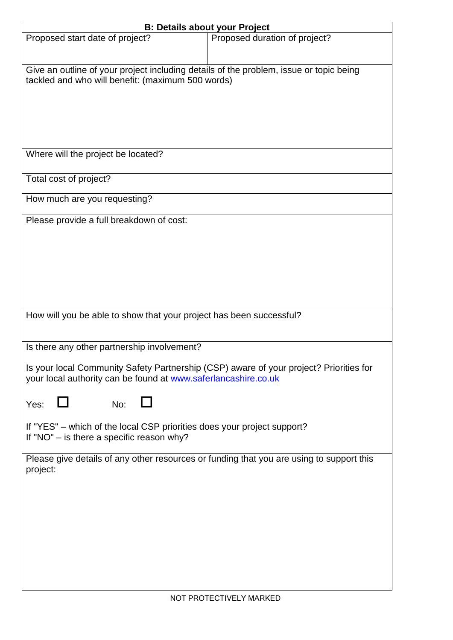| <b>B: Details about your Project</b>                                                     |                               |  |
|------------------------------------------------------------------------------------------|-------------------------------|--|
| Proposed start date of project?                                                          | Proposed duration of project? |  |
|                                                                                          |                               |  |
|                                                                                          |                               |  |
| Give an outline of your project including details of the problem, issue or topic being   |                               |  |
| tackled and who will benefit: (maximum 500 words)                                        |                               |  |
|                                                                                          |                               |  |
|                                                                                          |                               |  |
|                                                                                          |                               |  |
|                                                                                          |                               |  |
|                                                                                          |                               |  |
|                                                                                          |                               |  |
| Where will the project be located?                                                       |                               |  |
|                                                                                          |                               |  |
| Total cost of project?                                                                   |                               |  |
|                                                                                          |                               |  |
| How much are you requesting?                                                             |                               |  |
|                                                                                          |                               |  |
| Please provide a full breakdown of cost:                                                 |                               |  |
|                                                                                          |                               |  |
|                                                                                          |                               |  |
|                                                                                          |                               |  |
|                                                                                          |                               |  |
|                                                                                          |                               |  |
|                                                                                          |                               |  |
|                                                                                          |                               |  |
| How will you be able to show that your project has been successful?                      |                               |  |
|                                                                                          |                               |  |
|                                                                                          |                               |  |
| Is there any other partnership involvement?                                              |                               |  |
|                                                                                          |                               |  |
| Is your local Community Safety Partnership (CSP) aware of your project? Priorities for   |                               |  |
| your local authority can be found at www.saferlancashire.co.uk                           |                               |  |
|                                                                                          |                               |  |
| Yes:<br>No:                                                                              |                               |  |
|                                                                                          |                               |  |
| If "YES" - which of the local CSP priorities does your project support?                  |                               |  |
| If "NO" $-$ is there a specific reason why?                                              |                               |  |
|                                                                                          |                               |  |
| Please give details of any other resources or funding that you are using to support this |                               |  |
| project:                                                                                 |                               |  |
|                                                                                          |                               |  |
|                                                                                          |                               |  |
|                                                                                          |                               |  |
|                                                                                          |                               |  |
|                                                                                          |                               |  |
|                                                                                          |                               |  |
|                                                                                          |                               |  |
|                                                                                          |                               |  |
|                                                                                          |                               |  |
|                                                                                          |                               |  |
|                                                                                          |                               |  |